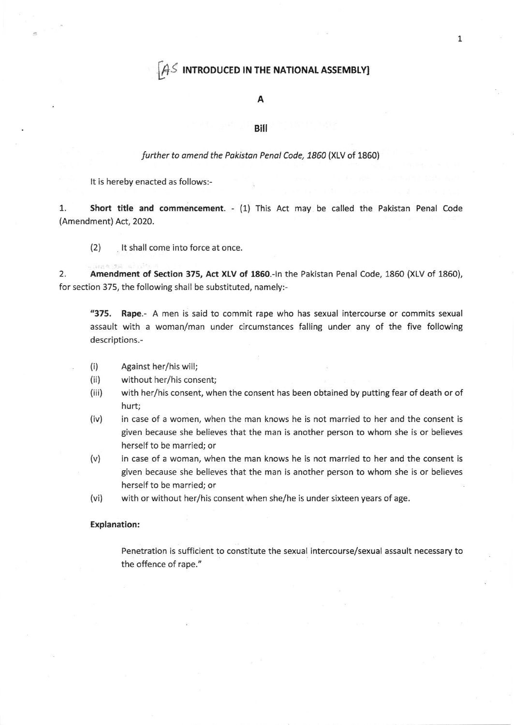## $\mathcal{A}$  introduced in the NATIONAL ASSEMBLY]

### A

#### Bill

#### further to amend the Pakistan Penal Code, 1860 (XLV of 1860)

It is hereby enacted as follows:-

1. Short title and commencement. - (1) This Act may be called the Pakistan Penal Code (Amendment) Act, 2020.

(2) lt shall come into force at once.

2. Amendment of Section 375, Act XLV of 1860.-In the Pakistan Penal Code, 1860 (XLV of 1860), for section 375, the following shall be substituted, namely:-

"375, Rape.- A men is said to commit rape who has sexual intercourse or commits sexual assault with a woman/man under circumstances falling under any of the five following descriptions.-

- (i) Against her/his will;
- (ii) without her/his consent;
- (iii) with her/his consent, when the consent has been obtained by putting fear of death or of hurt;
- in case of a women, when the man knows he is not married to her and the consent is given because she believes that the man is another person to whom she is or believes herself to be married; or (iv)
- in case of a woman, when the man knows he is not married to her and the consent is given because she believes that the man is another person to whom she is or believes herself to be married; or (v)
- with or without her/his consent when she/he is under sixteen years of age. (vi)

#### Explanation:

Penetration is sufficient to constitute the sexual intercourse/sexual assault necessary to the offence of rape."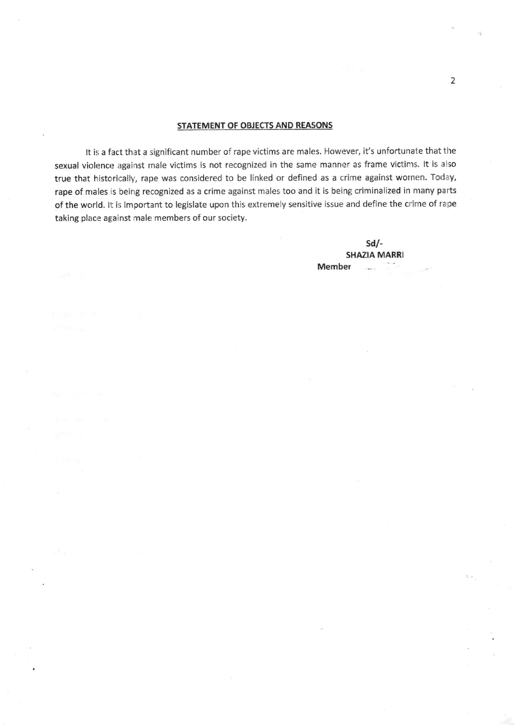#### STATEMENT OF OBJECTS AND REASONS

It is a fact that a significant number of rape victims are males. However, it's unfortunate that the sexual violence against male victims is not recognized in the same manner as frame victims. It is also true that historically, rape was considered to be linked or defined as a crime against wornen. Today, rape of males is being recognized as a crime against males too and it is being criminalized in many parts of the world. It is important to legislate upon this extremely sensitive issue and define the crime of rape taking place against male members of our society.

> $Sd$  -SHAZIA MARRI Member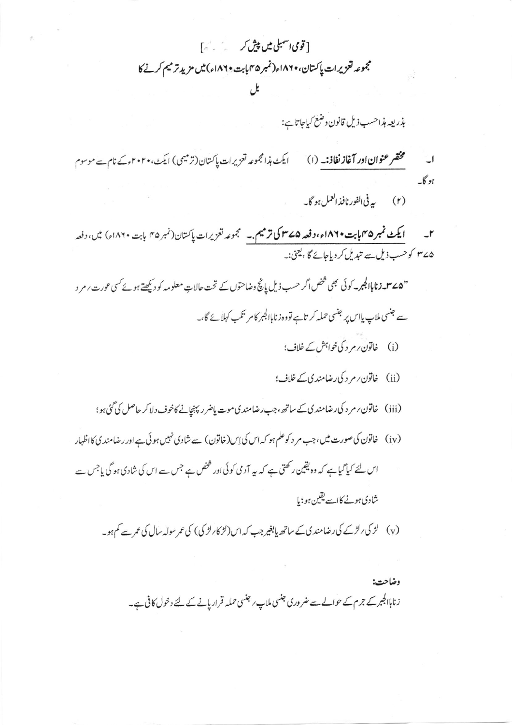[ قومی اسمبلی میں پیش کر میں میں کہ آ مجموعه لتعزيرات پاکستان، ۱۸۶۰ء(نمبر ۴۵ بابت ۱۸۲۰ء) میں مزید تر میم کرنے کا

بذريعه مذاحسب ذيل قانون وضغ كباحاتا ہے:

ایکٹ ہذامجموعہ تعزیرات پاکستان (ترمیمی) ایکٹ،۲۰۲۰ءکے نام سے موسوم مختصر عنوان اور آغاز نفاذ: \_ (ا)  $\Box$ بوگا۔

(۲) په في الفور نافذ العمل ہو گا۔

ایکٹ نمبر ۲۵مایا بت۱۸۲۰ء، دفعہ ۲۵ساکی ترمیم ۔ گجموعہ تعزیرات پاکستان(نمبر ۳۵ بابت ۱۸۲۰ء) میں، دفعہ  $\mathbf{r}$ ۷۷۵ کوحسب ذیل سے تبدیل کر دیاجائے گا ،یعنی:۔

"**۵۷-زناباالجبر**یہ کوئی بھی <sup>شخص</sup> اگر حسب ذیل پانچ وضاحتوں کے تحت حالاتِ معلومہ کو دیکھتے ہوئے کسی عورت *ا* مر د سے جنسی ملاپ پااس پر جنسی حملہ کر تاہے تووہ زناباالجبر کامر تکب کہلائے گا،۔

- (i) خاتون رم د کی خواہش کے خلاف؛
- (ii) خاتون پر مر د کی رضامند پی کے خلاف؛
- (iii) خاتون ر مر د کی رضامند کی کے ساتھ ،جب رضامند کی موت پاضر ر پہنچانے کاخوف دلا کر حاصل کی گئی ہو؛
- (iv) خاتون کی صورت میں، جب مر د کوعلم ہو کہ اس کی اِس(خاتون) سے شادی نہیں ہو ئی ہے اور رضامند پی کااظہار
- اس لئے کیاگیاہے کہ وہ یقین رکھتی ہے کہ یہ آدمی کوئی اور شخص ہے جس سے اس کی شادی ہو گی باجس سے شادی ہونے کا سے یقین ہو؛ یا
	- (v) لڑ کی رلڑکے کی رضامند ک کے ساتھ پابغیر جب کہ اس (لڑ کارلڑ کی) کی عمر سولہ سال کی عمر سے کم ہو۔

وضاحت: زناباالجبر کے جرم کے حوالے سے ضروری جنسی ملاپ ر جنسی حملہ قراریانے کے لئے دخول کافی ہے۔